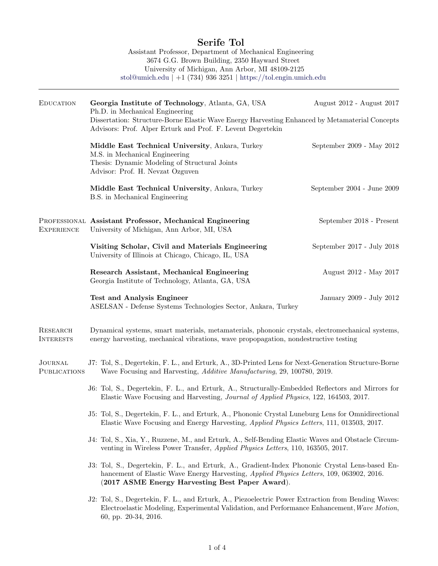# Serife Tol

Assistant Professor, Department of Mechanical Engineering 3674 G.G. Brown Building, 2350 Hayward Street University of Michigan, Ann Arbor, MI 48109-2125 [stol@umich.edu](mailto:stol@umich.edu) | +1 (734) 936 3251 | [https://tol.engin.umich.edu](https://tol.engin.umich.edu/)

| <b>EDUCATION</b>               | Georgia Institute of Technology, Atlanta, GA, USA<br>Ph.D. in Mechanical Engineering<br>Dissertation: Structure-Borne Elastic Wave Energy Harvesting Enhanced by Metamaterial Concepts                                                                | August 2012 - August 2017  |  |
|--------------------------------|-------------------------------------------------------------------------------------------------------------------------------------------------------------------------------------------------------------------------------------------------------|----------------------------|--|
|                                | Advisors: Prof. Alper Erturk and Prof. F. Levent Degertekin                                                                                                                                                                                           |                            |  |
|                                | Middle East Technical University, Ankara, Turkey<br>M.S. in Mechanical Engineering<br>Thesis: Dynamic Modeling of Structural Joints<br>Advisor: Prof. H. Nevzat Ozguven                                                                               | September 2009 - May 2012  |  |
|                                | Middle East Technical University, Ankara, Turkey<br>B.S. in Mechanical Engineering                                                                                                                                                                    | September 2004 - June 2009 |  |
| <b>EXPERIENCE</b>              | PROFESSIONAL Assistant Professor, Mechanical Engineering<br>University of Michigan, Ann Arbor, MI, USA                                                                                                                                                | September 2018 - Present   |  |
|                                | Visiting Scholar, Civil and Materials Engineering<br>University of Illinois at Chicago, Chicago, IL, USA                                                                                                                                              | September 2017 - July 2018 |  |
|                                | Research Assistant, Mechanical Engineering<br>Georgia Institute of Technology, Atlanta, GA, USA                                                                                                                                                       | August 2012 - May 2017     |  |
|                                | <b>Test and Analysis Engineer</b><br>ASELSAN - Defense Systems Technologies Sector, Ankara, Turkey                                                                                                                                                    | January 2009 - July 2012   |  |
| RESEARCH<br><b>INTERESTS</b>   | Dynamical systems, smart materials, metamaterials, phononic crystals, electromechanical systems,<br>energy harvesting, mechanical vibrations, wave propopagation, nondestructive testing                                                              |                            |  |
| <b>JOURNAL</b><br>PUBLICATIONS | J7: Tol, S., Degertekin, F. L., and Erturk, A., 3D-Printed Lens for Next-Generation Structure-Borne<br>Wave Focusing and Harvesting, <i>Additive Manufacturing</i> , 29, 100780, 2019.                                                                |                            |  |
|                                | J6: Tol, S., Degertekin, F. L., and Erturk, A., Structurally-Embedded Reflectors and Mirrors for<br>Elastic Wave Focusing and Harvesting, Journal of Applied Physics, 122, 164503, 2017.                                                              |                            |  |
|                                | J5: Tol, S., Degertekin, F. L., and Erturk, A., Phononic Crystal Luneburg Lens for Omnidirectional<br>Elastic Wave Focusing and Energy Harvesting, Applied Physics Letters, 111, 013503, 2017.                                                        |                            |  |
|                                | J4: Tol, S., Xia, Y., Ruzzene, M., and Erturk, A., Self-Bending Elastic Waves and Obstacle Circum-<br>venting in Wireless Power Transfer, <i>Applied Physics Letters</i> , 110, 163505, 2017.                                                         |                            |  |
|                                | J3: Tol, S., Degertekin, F. L., and Erturk, A., Gradient-Index Phononic Crystal Lens-based En-<br>hancement of Elastic Wave Energy Harvesting, <i>Applied Physics Letters</i> , 109, 063902, 2016.<br>(2017 ASME Energy Harvesting Best Paper Award). |                            |  |
|                                | J2: Tol, S., Degertekin, F. L., and Erturk, A., Piezoelectric Power Extraction from Bending Waves:<br>Electroelastic Modeling, Experimental Validation, and Performance Enhancement, Wave Motion,<br>60, pp. 20-34, 2016.                             |                            |  |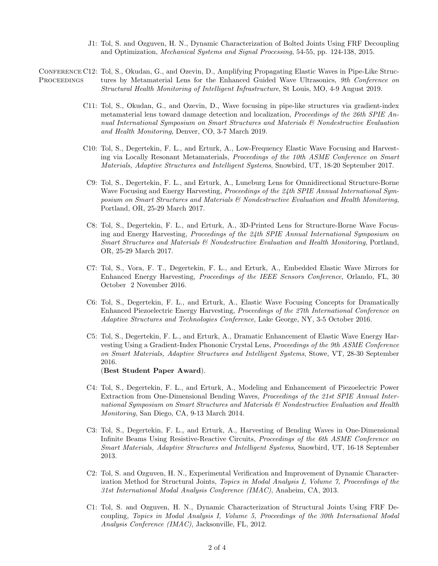J1: Tol, S. and Ozguven, H. N., Dynamic Characterization of Bolted Joints Using FRF Decoupling and Optimization, Mechanical Systems and Signal Processing, 54-55, pp. 124-138, 2015.

CONFERENCE C12: Tol, S., Okudan, G., and Ozevin, D., Amplifying Propagating Elastic Waves in Pipe-Like Struc-**PROCEEDINGS** tures by Metamaterial Lens for the Enhanced Guided Wave Ultrasonics, 9th Conference on Structural Health Monitoring of Intelligent Infrastructure, St Louis, MO, 4-9 August 2019.

- C11: Tol, S., Okudan, G., and Ozevin, D., Wave focusing in pipe-like structures via gradient-index metamaterial lens toward damage detection and localization, *Proceedings of the 26th SPIE An*nual International Symposium on Smart Structures and Materials & Nondestructive Evaluation and Health Monitoring, Denver, CO, 3-7 March 2019.
- C10: Tol, S., Degertekin, F. L., and Erturk, A., Low-Frequency Elastic Wave Focusing and Harvesting via Locally Resonant Metamaterials, Proceedings of the 10th ASME Conference on Smart Materials, Adaptive Structures and Intelligent Systems, Snowbird, UT, 18-20 September 2017.
- C9: Tol, S., Degertekin, F. L., and Erturk, A., Luneburg Lens for Omnidirectional Structure-Borne Wave Focusing and Energy Harvesting, Proceedings of the 24th SPIE Annual International Symposium on Smart Structures and Materials & Nondestructive Evaluation and Health Monitoring, Portland, OR, 25-29 March 2017.
- C8: Tol, S., Degertekin, F. L., and Erturk, A., 3D-Printed Lens for Structure-Borne Wave Focusing and Energy Harvesting, Proceedings of the 24th SPIE Annual International Symposium on Smart Structures and Materials & Nondestructive Evaluation and Health Monitoring, Portland, OR, 25-29 March 2017.
- C7: Tol, S., Vora, F. T., Degertekin, F. L., and Erturk, A., Embedded Elastic Wave Mirrors for Enhanced Energy Harvesting, Proceedings of the IEEE Sensors Conference, Orlando, FL, 30 October 2 November 2016.
- C6: Tol, S., Degertekin, F. L., and Erturk, A., Elastic Wave Focusing Concepts for Dramatically Enhanced Piezoelectric Energy Harvesting, Proceedings of the 27th International Conference on Adaptive Structures and Technologies Conference, Lake George, NY, 3-5 October 2016.
- C5: Tol, S., Degertekin, F. L., and Erturk, A., Dramatic Enhancement of Elastic Wave Energy Harvesting Using a Gradient-Index Phononic Crystal Lens, Proceedings of the 9th ASME Conference on Smart Materials, Adaptive Structures and Intelligent Systems, Stowe, VT, 28-30 September 2016.

(Best Student Paper Award).

- C4: Tol, S., Degertekin, F. L., and Erturk, A., Modeling and Enhancement of Piezoelectric Power Extraction from One-Dimensional Bending Waves, Proceedings of the 21st SPIE Annual International Symposium on Smart Structures and Materials & Nondestructive Evaluation and Health Monitoring, San Diego, CA, 9-13 March 2014.
- C3: Tol, S., Degertekin, F. L., and Erturk, A., Harvesting of Bending Waves in One-Dimensional Infinite Beams Using Resistive-Reactive Circuits, Proceedings of the 6th ASME Conference on Smart Materials, Adaptive Structures and Intelligent Systems, Snowbird, UT, 16-18 September 2013.
- C2: Tol, S. and Ozguven, H. N., Experimental Verification and Improvement of Dynamic Characterization Method for Structural Joints, Topics in Modal Analysis I, Volume 7, Proceedings of the 31st International Modal Analysis Conference (IMAC), Anaheim, CA, 2013.
- C1: Tol, S. and Ozguven, H. N., Dynamic Characterization of Structural Joints Using FRF Decoupling, Topics in Modal Analysis I, Volume 5, Proceedings of the 30th International Modal Analysis Conference (IMAC), Jacksonville, FL, 2012.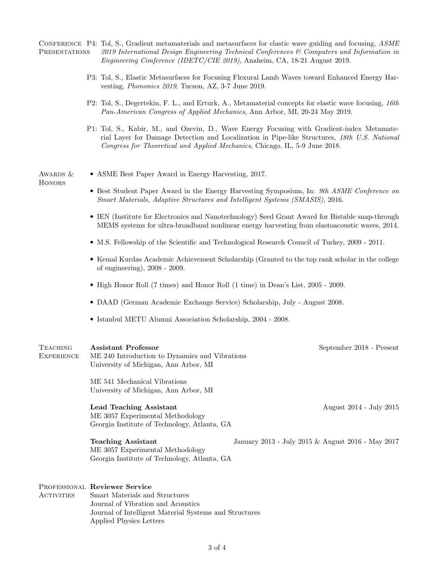CONFERENCE P4: Tol, S., Gradient metamaterials and metasurfaces for elastic wave guiding and focusing, ASME **PRESENTATIONS** 2019 International Design Engineering Technical Conferences & Computers and Information in Engineering Conference (IDETC/CIE 2019), Anaheim, CA, 18-21 August 2019.

- P3: Tol, S., Elastic Metasurfaces for Focusing Flexural Lamb Waves toward Enhanced Energy Harvesting, Phononics 2019, Tucson, AZ, 3-7 June 2019.
- P2: Tol, S., Degertekin, F. L., and Erturk, A., Metamaterial concepts for elastic wave focusing, 16th Pan-American Congress of Applied Mechanics, Ann Arbor, MI, 20-24 May 2019.
- P1: Tol, S., Kabir, M., and Ozevin, D., Wave Energy Focusing with Gradient-index Metamaterial Layer for Damage Detection and Localization in Pipe-like Structures, 18th U.S. National Congress for Theoretical and Applied Mechanics, Chicago, IL, 5-9 June 2018.

AWARDS & **HONORS** 

- ASME Best Paper Award in Energy Harvesting, 2017.
	- Best Student Paper Award in the Energy Harvesting Symposium, In: 9th ASME Conference on Smart Materials, Adaptive Structures and Intelligent Systems (SMASIS), 2016.
	- IEN (Institute for Electronics and Nanotechnology) Seed Grant Award for Bistable snap-through MEMS systems for ultra-broadband nonlinear energy harvesting from elastoacoustic waves, 2014.
	- M.S. Fellowship of the Scientific and Technological Research Council of Turkey, 2009 2011.
	- Kemal Kurdas Academic Achievement Scholarship (Granted to the top rank scholar in the college of engineering), 2008 - 2009.
	- High Honor Roll (7 times) and Honor Roll (1 time) in Dean's List, 2005 2009.
	- DAAD (German Academic Exchange Service) Scholarship, July August 2008.
	- Istanbul METU Alumni Association Scholarship, 2004 2008.

| TEACHING   | Assistant Professor                            | September 2018 - Present |
|------------|------------------------------------------------|--------------------------|
| EXPERIENCE | ME 240 Introduction to Dynamics and Vibrations |                          |
|            | University of Michigan, Ann Arbor, MI          |                          |

ME 541 Mechanical Vibrations University of Michigan, Ann Arbor, MI

# Lead Teaching Assistant August 2014 - July 2015 ME 3057 Experimental Methodology

Georgia Institute of Technology, Atlanta, GA

ME 3057 Experimental Methodology Georgia Institute of Technology, Atlanta, GA

## PROFESSIONAL Reviewer Service

**ACTIVITIES** Smart Materials and Structures Journal of Vibration and Acoustics Journal of Intelligent Material Systems and Structures Applied Physics Letters

Teaching Assistant January 2013 - July 2015 & August 2016 - May 2017